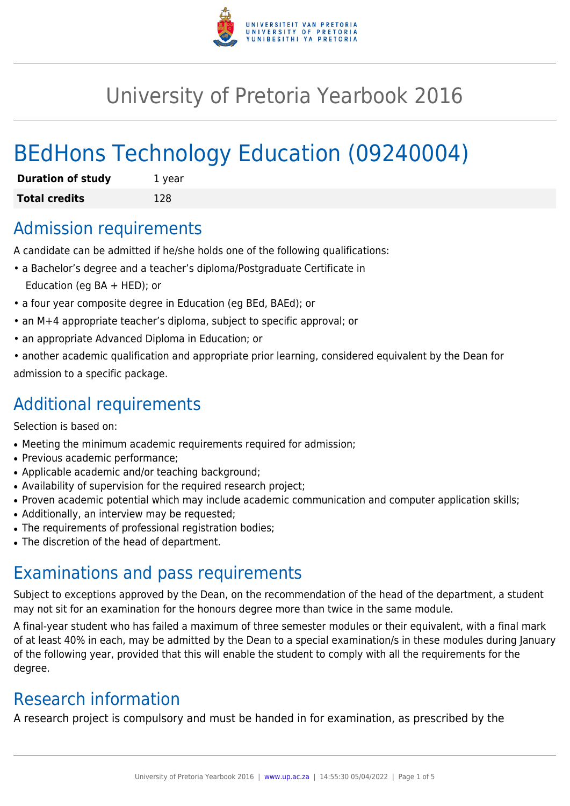

# University of Pretoria Yearbook 2016

# BEdHons Technology Education (09240004)

| <b>Duration of study</b> | 1 year |
|--------------------------|--------|
| <b>Total credits</b>     | 128    |

## Admission requirements

A candidate can be admitted if he/she holds one of the following qualifications:

- a Bachelor's degree and a teacher's diploma/Postgraduate Certificate in Education (eg BA + HED); or
- a four year composite degree in Education (eg BEd, BAEd); or
- an M+4 appropriate teacher's diploma, subject to specific approval; or
- an appropriate Advanced Diploma in Education; or
- another academic qualification and appropriate prior learning, considered equivalent by the Dean for admission to a specific package.

## Additional requirements

Selection is based on:

- Meeting the minimum academic requirements required for admission;
- Previous academic performance:
- Applicable academic and/or teaching background;
- Availability of supervision for the required research project;
- Proven academic potential which may include academic communication and computer application skills;
- Additionally, an interview may be requested;
- The requirements of professional registration bodies;
- The discretion of the head of department.

# Examinations and pass requirements

Subject to exceptions approved by the Dean, on the recommendation of the head of the department, a student may not sit for an examination for the honours degree more than twice in the same module.

A final-year student who has failed a maximum of three semester modules or their equivalent, with a final mark of at least 40% in each, may be admitted by the Dean to a special examination/s in these modules during January of the following year, provided that this will enable the student to comply with all the requirements for the degree.

# Research information

A research project is compulsory and must be handed in for examination, as prescribed by the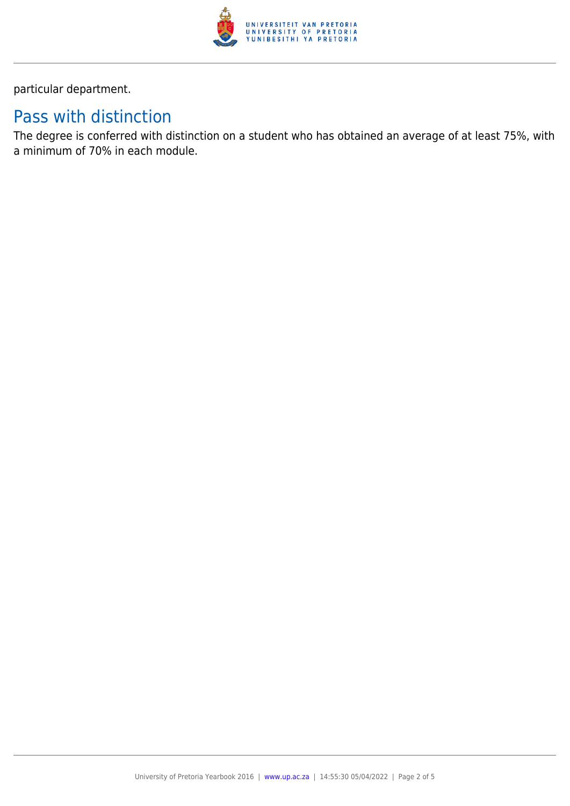

particular department.

# Pass with distinction

The degree is conferred with distinction on a student who has obtained an average of at least 75%, with a minimum of 70% in each module.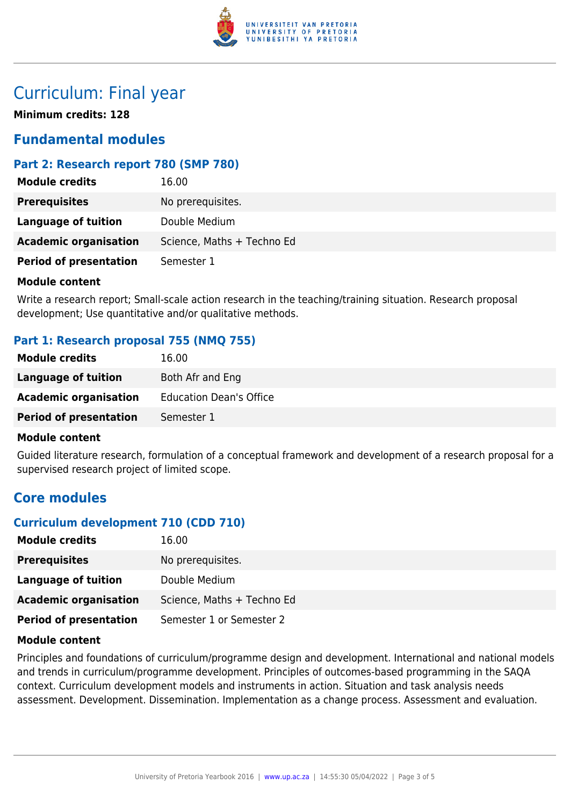

## Curriculum: Final year

**Minimum credits: 128**

#### **Fundamental modules**

#### **Part 2: Research report 780 (SMP 780)**

| <b>Module credits</b>         | 16.00                      |
|-------------------------------|----------------------------|
| <b>Prerequisites</b>          | No prerequisites.          |
| <b>Language of tuition</b>    | Double Medium              |
| <b>Academic organisation</b>  | Science, Maths + Techno Ed |
| <b>Period of presentation</b> | Semester 1                 |

#### **Module content**

Write a research report; Small-scale action research in the teaching/training situation. Research proposal development; Use quantitative and/or qualitative methods.

#### **Part 1: Research proposal 755 (NMQ 755)**

| <b>Module credits</b>         | 16.00                          |
|-------------------------------|--------------------------------|
| Language of tuition           | Both Afr and Eng               |
| <b>Academic organisation</b>  | <b>Education Dean's Office</b> |
| <b>Period of presentation</b> | Semester 1                     |

#### **Module content**

Guided literature research, formulation of a conceptual framework and development of a research proposal for a supervised research project of limited scope.

#### **Core modules**

#### **Curriculum development 710 (CDD 710)**

| <b>Module credits</b>         | 16.00                      |
|-------------------------------|----------------------------|
| <b>Prerequisites</b>          | No prerequisites.          |
| Language of tuition           | Double Medium              |
| <b>Academic organisation</b>  | Science, Maths + Techno Ed |
| <b>Period of presentation</b> | Semester 1 or Semester 2   |

#### **Module content**

Principles and foundations of curriculum/programme design and development. International and national models and trends in curriculum/programme development. Principles of outcomes-based programming in the SAQA context. Curriculum development models and instruments in action. Situation and task analysis needs assessment. Development. Dissemination. Implementation as a change process. Assessment and evaluation.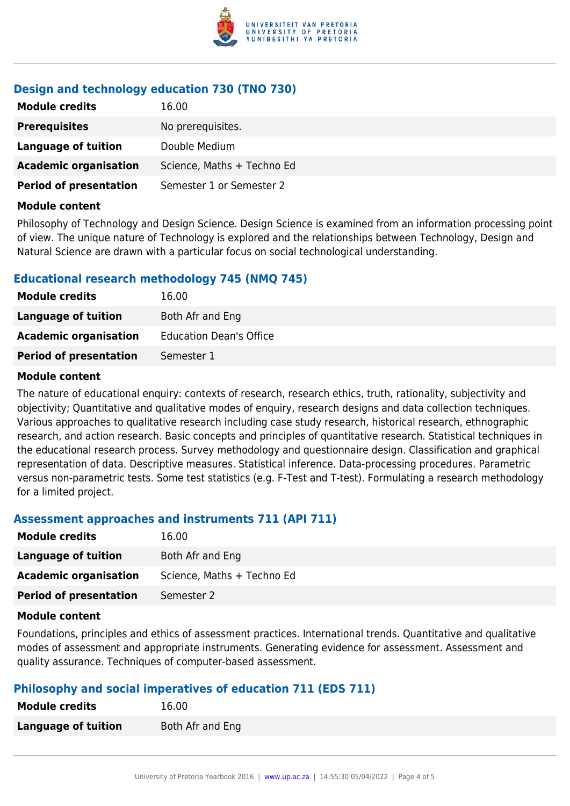

#### **Design and technology education 730 (TNO 730)**

| <b>Module credits</b>         | 16.00                      |
|-------------------------------|----------------------------|
| <b>Prerequisites</b>          | No prerequisites.          |
| <b>Language of tuition</b>    | Double Medium              |
| <b>Academic organisation</b>  | Science, Maths + Techno Ed |
| <b>Period of presentation</b> | Semester 1 or Semester 2   |

#### **Module content**

Philosophy of Technology and Design Science. Design Science is examined from an information processing point of view. The unique nature of Technology is explored and the relationships between Technology, Design and Natural Science are drawn with a particular focus on social technological understanding.

#### **Educational research methodology 745 (NMQ 745)**

| <b>Module credits</b>         | 16.00                          |
|-------------------------------|--------------------------------|
| Language of tuition           | Both Afr and Eng               |
| <b>Academic organisation</b>  | <b>Education Dean's Office</b> |
| <b>Period of presentation</b> | Semester 1                     |

#### **Module content**

The nature of educational enquiry: contexts of research, research ethics, truth, rationality, subjectivity and objectivity; Quantitative and qualitative modes of enquiry, research designs and data collection techniques. Various approaches to qualitative research including case study research, historical research, ethnographic research, and action research. Basic concepts and principles of quantitative research. Statistical techniques in the educational research process. Survey methodology and questionnaire design. Classification and graphical representation of data. Descriptive measures. Statistical inference. Data-processing procedures. Parametric versus non-parametric tests. Some test statistics (e.g. F-Test and T-test). Formulating a research methodology for a limited project.

#### **Assessment approaches and instruments 711 (API 711)**

| <b>Module credits</b>         | 16.00                      |
|-------------------------------|----------------------------|
| Language of tuition           | Both Afr and Eng           |
| <b>Academic organisation</b>  | Science, Maths + Techno Ed |
| <b>Period of presentation</b> | Semester 2                 |

#### **Module content**

Foundations, principles and ethics of assessment practices. International trends. Quantitative and qualitative modes of assessment and appropriate instruments. Generating evidence for assessment. Assessment and quality assurance. Techniques of computer-based assessment.

#### **Philosophy and social imperatives of education 711 (EDS 711)**

| <b>Module credits</b> | 16.00            |
|-----------------------|------------------|
| Language of tuition   | Both Afr and Eng |